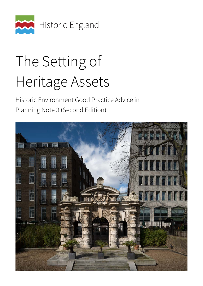

# The Setting of Heritage Assets

Historic Environment Good Practice Advice in Planning Note 3 (Second Edition)

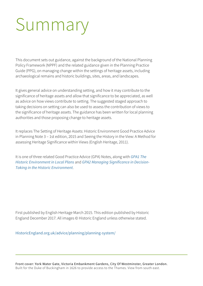# Summary

This document sets out guidance, against the background of the National Planning Policy Framework (NPPF) and the related guidance given in the Planning Practice Guide (PPG), on managing change within the settings of heritage assets, including archaeological remains and historic buildings, sites, areas, and landscapes.

It gives general advice on understanding setting, and how it may contribute to the significance of heritage assets and allow that significance to be appreciated, as well as advice on how views contribute to setting. The suggested staged approach to taking decisions on setting can also be used to assess the contribution of views to the significance of heritage assets. The guidance has been written for local planning authorities and those proposing change to heritage assets.

It replaces The Setting of Heritage Assets: Historic Environment Good Practice Advice in Planning Note 3 – 1st edition, 2015 and Seeing the History in the View: A Method for assessing Heritage Significance within Views (English Heritage, 2011).

It is one of three related Good Practice Advice (GPA) Notes, along with *[GPA1 The](https://historicengland.org.uk/images-books/publications/gpa1-historic-environment-local-plans/)  [Historic Environment in Local Plans](https://historicengland.org.uk/images-books/publications/gpa1-historic-environment-local-plans/)* and *[GPA2 Managing Significance in Decision-](https://historicengland.org.uk/images-books/publications/gpa2-managing-significance-in-decision-taking/)[Taking in the Historic Environment](https://historicengland.org.uk/images-books/publications/gpa2-managing-significance-in-decision-taking/)*.

First published by English Heritage March 2015. This edition published by Historic England December 2017. All images © Historic England unless otherwise stated.

[HistoricEngland.org.uk/advice/planning/planning-system/](https://historicengland.org.uk/advice/planning/planning-system/) 

Front cover: York Water Gate, Victoria Embankment Gardens, City Of Westminster, Greater London. Built for the Duke of Buckingham in 1626 to provide access to the Thames. View from south east.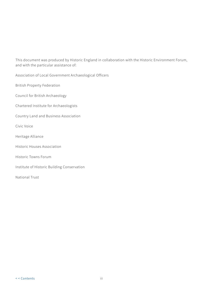This document was produced by Historic England in collaboration with the Historic Environment Forum, and with the particular assistance of:

Association of Local Government Archaeological Officers

British Property Federation

Council for British Archaeology

Chartered Institute for Archaeologists

Country Land and Business Association

Civic Voice

- Heritage Alliance
- Historic Houses Association
- Historic Towns Forum

Institute of Historic Building Conservation

National Trust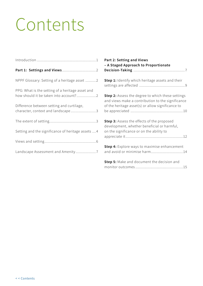## <span id="page-3-0"></span>Contents

|                                                    | Part 2: Setting and Views<br>- A Staged Approach to Proportionate                                      |
|----------------------------------------------------|--------------------------------------------------------------------------------------------------------|
|                                                    |                                                                                                        |
| PPG: What is the setting of a heritage asset and   |                                                                                                        |
| how should it be taken into account?2              | Step 2: Assess the degree to which these settings<br>and views make a contribution to the significance |
| Difference between setting and curtilage,          | of the heritage asset(s) or allow significance to                                                      |
| character, context and landscape3                  |                                                                                                        |
|                                                    | Step 3: Assess the effects of the proposed<br>development, whether beneficial or harmful,              |
| Setting and the significance of heritage assets  4 | on the significance or on the ability to                                                               |
|                                                    |                                                                                                        |
|                                                    | Step 4: Explore ways to maximise enhancement                                                           |
| Landscape Assessment and Amenity7                  | and avoid or minimise harm14                                                                           |
|                                                    | Step 5: Make and document the decision and                                                             |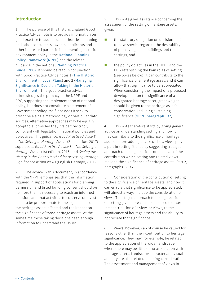## <span id="page-4-0"></span>**Introduction**

1 The purpose of this Historic England Good Practice Advice note is to provide information on good practice to assist local authorities, planning and other consultants, owners, applicants and other interested parties in implementing historic environment policy in the [National Planning](https://www.gov.uk/guidance/national-planning-policy-framework)  [Policy Framework \(NPPF\)](https://www.gov.uk/guidance/national-planning-policy-framework) and the related guidance in the national [Planning Practice](https://www.gov.uk/guidance/conserving-and-enhancing-the-historic-environment)  [Guide \(PPG\)](https://www.gov.uk/guidance/conserving-and-enhancing-the-historic-environment). It should be read in conjunction with Good Practice Advice notes 1 ([The Historic](https://content.historicengland.org.uk/images-books/publications/gpa1-historic-environment-local-plans/gpa1.pdf/)  [Environment in Local Plans](https://content.historicengland.org.uk/images-books/publications/gpa1-historic-environment-local-plans/gpa1.pdf/)) and 2 ([Managing](https://content.historicengland.org.uk/images-books/publications/gpa2-managing-significance-in-decision-taking/gpa2.pdf/)  [Significance in Decision-Taking in the Historic](https://content.historicengland.org.uk/images-books/publications/gpa2-managing-significance-in-decision-taking/gpa2.pdf/)  [Environment](https://content.historicengland.org.uk/images-books/publications/gpa2-managing-significance-in-decision-taking/gpa2.pdf/)). This good practice advice acknowledges the primacy of the NPPF and PPG, supporting the implementation of national policy, but does not constitute a statement of Government policy itself, nor does it seek to prescribe a single methodology or particular data sources. Alternative approaches may be equally acceptable, provided they are demonstrably compliant with legislation, national policies and objectives. This guidance, *Good Practice Advice 3 – The Setting of Heritage Assets* (2nd edition, 2017) supersedes *Good Practice Advice 3 – The Setting of Heritage Assets* (1st edition, 2015) and *Seeing the History in the View: A Method for assessing Heritage Significance within Views* (English Heritage, 2011).

2 The advice in this document, in accordance with the NPPF, emphasises that the information required in support of applications for planning permission and listed building consent should be no more than is necessary to reach an informed decision, and that activities to conserve or invest need to be proportionate to the significance of the heritage assets affected and the impact on the significance of those heritage assets. At the same time those taking decisions need enough information to understand the issues.

3 This note gives assistance concerning the assessment of the setting of heritage assets, given:

- **the statutory obligation on decision-makers** to have special regard to the desirability of preserving listed buildings and their settings, and
- the policy objectives in the NPPF and the PPG establishing the twin roles of setting (see boxes below): it can contribute to the significance of a heritage asset, and it can allow that significance to be appreciated. When considering the impact of a proposed development on the significance of a designated heritage asset, great weight should be given to the heritage asset's conservation, including sustaining significance ([NPPF, paragraph 132](https://www.gov.uk/guidance/national-planning-policy-framework/12-conserving-and-enhancing-the-historic-environment)).

4 This note therefore starts by giving general advice on understanding setting and how it may contribute to the significance of heritage assets, before adding advice on how views play a part in setting; it ends by suggesting a staged approach to taking decisions on the level of the contribution which setting and related views make to the significance of heritage assets (Part 2, paragraphs 17–42).

5 Consideration of the contribution of setting to the significance of heritage assets, and how it can enable that significance to be appreciated, will almost always include the consideration of views. The staged approach to taking decisions on setting given here can also be used to assess the contribution of a view, or views, to the significance of heritage assets and the ability to appreciate that significance.

6 Views, however, can of course be valued for reasons other than their contribution to heritage significance. They may, for example, be related to the appreciation of the wider landscape, where there may be little or no association with heritage assets. Landscape character and visual amenity are also related planning considerations. The assessment and management of views in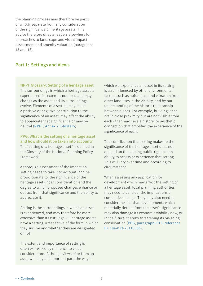<span id="page-5-0"></span>the planning process may therefore be partly or wholly separate from any consideration of the significance of heritage assets. This advice therefore directs readers elsewhere for approaches to landscape and visual impact assessment and amenity valuation (paragraphs 15 and 16).

## **Part 1: Settings and Views**

#### **NPPF Glossary: Setting of a heritage asset**

The surroundings in which a heritage asset is experienced. Its extent is not fixed and may change as the asset and its surroundings evolve. Elements of a setting may make a positive or negative contribution to the significance of an asset, may affect the ability to appreciate that significance or may be neutral ([NPPF, Annex 2: Glossary](https://www.gov.uk/guidance/national-planning-policy-framework/annex-2-glossary)).

## **PPG: What is the setting of a heritage asset and how should it be taken into account?**

The "setting of a heritage asset" is defined in the Glossary of the National Planning Policy Framework.

A thorough assessment of the impact on setting needs to take into account, and be proportionate to, the significance of the heritage asset under consideration and the degree to which proposed changes enhance or detract from that significance and the ability to appreciate it.

Setting is the surroundings in which an asset is experienced, and may therefore be more extensive than its curtilage. All heritage assets have a setting, irrespective of the form in which they survive and whether they are designated or not.

The extent and importance of setting is often expressed by reference to visual considerations. Although views of or from an asset will play an important part, the way in

which we experience an asset in its setting is also influenced by other environmental factors such as noise, dust and vibration from other land uses in the vicinity, and by our understanding of the historic relationship between places. For example, buildings that are in close proximity but are not visible from each other may have a historic or aesthetic connection that amplifies the experience of the significance of each.

The contribution that setting makes to the significance of the heritage asset does not depend on there being public rights or an ability to access or experience that setting. This will vary over time and according to circumstance.

When assessing any application for development which may affect the setting of a heritage asset, local planning authorities may need to consider the implications of cumulative change. They may also need to consider the fact that developments which materially detract from the asset's significance may also damage its economic viability now, or in the future, thereby threatening its on-going conservation ([PPG, paragraph: 013, reference](https://www.gov.uk/guidance/conserving-and-enhancing-the-historic-environment#decision-taking-historic-environment)  [ID: 18a-013-20140306](https://www.gov.uk/guidance/conserving-and-enhancing-the-historic-environment#decision-taking-historic-environment)).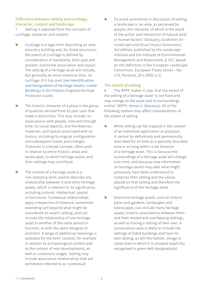## <span id="page-6-0"></span>**Difference between setting and curtilage, character, context and landscape**

7 Setting is separate from the concepts of curtilage, character and context:

- Curtilage is a legal term describing an area around a building and, for listed structures, the extent of curtilage is defined by consideration of ownership, both past and present, functional association and layout. The setting of a heritage asset will include, but generally be more extensive than, its curtilage (if it has one) (see [Identification](https://historicengland.org.uk/advice/hpg/has/listed-buildings/)  [and Designation of Heritage Assets: Listed](https://historicengland.org.uk/advice/hpg/has/listed-buildings/)  [Buildings](https://historicengland.org.uk/advice/hpg/has/listed-buildings/) in the Historic England *Heritage Protection Guide*).
- $\blacksquare$  The historic character of a place is the group of qualities derived from its past uses that make it distinctive. This may include: its associations with people, now and through time; its visual aspects; and the features, materials, and spaces associated with its history, including its original configuration and subsequent losses and changes. Character is a broad concept, often used in relation to entire historic areas and landscapes, to which heritage assets and their settings may contribute.
- $\blacksquare$  The context of a heritage asset is a non-statutory term used to describe any relationship between it and other heritage assets, which is relevant to its significance, including cultural, intellectual, spatial or functional. Contextual relationships apply irrespective of distance, sometimes extending well beyond what might be considered an asset's setting, and can include the relationship of one heritage asset to another of the same period or function, or with the same designer or architect. A range of additional meanings is available for the term 'context', for example in relation to archaeological context and to the context of new developments, as well as customary usages. Setting may include associative relationships that are sometimes referred to as 'contextual'.

 To avoid uncertainty in discussion of setting, a landscape is 'an area, as perceived by people, the character of which is the result of the action and interaction of natural and/ or human factors' (Glossary, *[Guidelines for](https://www.coe.int/en/web/conventions/full-list/-/conventions/treaty/176)  [Landscape and Visual Impact Assessment](https://www.coe.int/en/web/conventions/full-list/-/conventions/treaty/176)*, 3rd edition, published by the Landscape Institute and the Institute of Environmental Management and Assessment, p 157, based on the definition in the European Landscape Convention, European Treaty Series – No. 176, Florence, 20.x.2000, p 2).

## **The extent of setting**

8 The NPPF makes it clear that the extent of the setting of a heritage asset 'is not fixed and may change as the asset and its surroundings evolve' ([NPPF, Annex 2: Glossary](https://www.gov.uk/guidance/national-planning-policy-framework/annex-2-glossary)). All of the following matters may affect considerations of the extent of setting:

- While setting can be mapped in the context of an individual application or proposal, it cannot be definitively and permanently described for all time as a spatially bounded area or as lying within a set distance of a heritage asset. This is because the surroundings of a heritage asset will change over time, and because new information on heritage assets may alter what might previously have been understood to comprise their setting and the values placed on that setting and therefore the significance of the heritage asset.
- Extensive heritage assets, such as historic parks and gardens, landscapes and townscapes, can include many heritage assets, historic associations between them and their nested and overlapping settings, as well as having a setting of their own. A conservation area is likely to include the settings of listed buildings and have its own setting, as will the hamlet, village or urban area in which it is situated (explicitly recognised in green belt designations).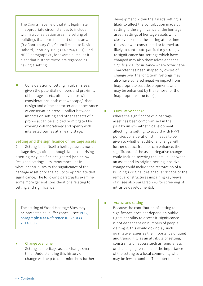<span id="page-7-0"></span>The Courts have held that it is legitimate in appropriate circumstances to include within a conservation area the setting of buildings that form the heart of that area (R v Canterbury City Council ex parte David Halford, February 1992; CO/2794/1991). And NPPF paragraph 80, for example, makes it clear that historic towns are regarded as having a setting.

■ Consideration of setting in urban areas, given the potential numbers and proximity of heritage assets, often overlaps with considerations both of townscape/urban design and of the character and appearance of conservation areas. Conflict between impacts on setting and other aspects of a proposal can be avoided or mitigated by working collaboratively and openly with interested parties at an early stage.

## **Setting and the significance of heritage assets**

9 Setting is not itself a heritage asset, nor a heritage designation, although land comprising a setting may itself be designated (see below Designed settings). Its importance lies in what it contributes to the significance of the heritage asset or to the ability to appreciate that significance. The following paragraphs examine some more general considerations relating to setting and significance.

The setting of World Heritage Sites may be protected as 'buffer zones' – see [PPG,](https://www.gov.uk/guidance/conserving-and-enhancing-the-historic-environment#designated-heritage-assets)  [paragraph: 033 Reference ID: 2a-033](https://www.gov.uk/guidance/conserving-and-enhancing-the-historic-environment#designated-heritage-assets) [20140306.](https://www.gov.uk/guidance/conserving-and-enhancing-the-historic-environment#designated-heritage-assets) 

 Change over time Settings of heritage assets change over time. Understanding this history of change will help to determine how further

development within the asset's setting is likely to affect the contribution made by setting to the significance of the heritage asset. Settings of heritage assets which closely resemble the setting at the time the asset was constructed or formed are likely to contribute particularly strongly to significance but settings which have changed may also themselves enhance significance, for instance where townscape character has been shaped by cycles of change over the long term. Settings may also have suffered negative impact from inappropriate past developments and may be enhanced by the removal of the inappropriate structure(s).

#### Cumulative change

Where the significance of a heritage asset has been compromised in the past by unsympathetic development affecting its setting, to accord with NPPF policies consideration still needs to be given to whether additional change will further detract from, or can enhance, the significance of the asset. Negative change could include severing the last link between an asset and its original setting; positive change could include the restoration of a building's original designed landscape or the removal of structures impairing key views of it (see also paragraph 40 for screening of intrusive developments).

## **Access and setting**

Because the contribution of setting to significance does not depend on public rights or ability to access it, significance is not dependent on numbers of people visiting it; this would downplay such qualitative issues as the importance of quiet and tranquillity as an attribute of setting, constraints on access such as remoteness or challenging terrain, and the importance of the setting to a local community who may be few in number. The potential for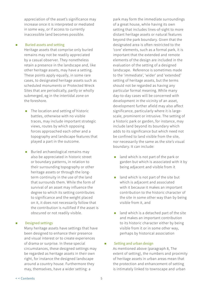appreciation of the asset's significance may increase once it is interpreted or mediated in some way, or if access to currently inaccessible land becomes possible.

#### **Buried assets and setting**

Heritage assets that comprise only buried remains may not be readily appreciated by a casual observer. They nonetheless retain a presence in the landscape and, like other heritage assets, may have a setting. These points apply equally, in some rare cases, to designated heritage assets such as scheduled monuments or Protected Wreck Sites that are periodically, partly or wholly submerged, eg in the intertidal zone on the foreshore.

- $\blacksquare$  The location and setting of historic battles, otherwise with no visible traces, may include important strategic views, routes by which opposing forces approached each other and a topography and landscape features that played a part in the outcome.
- **Buried archaeological remains may** also be appreciated in historic street or boundary patterns, in relation to their surrounding topography or other heritage assets or through the longterm continuity in the use of the land that surrounds them. While the form of survival of an asset may influence the degree to which its setting contributes to significance and the weight placed on it, it does not necessarily follow that the contribution is nullified if the asset is obscured or not readily visible.

## Designed settings

Many heritage assets have settings that have been designed to enhance their presence and visual interest or to create experiences of drama or surprise. In these special circumstances, these designed settings may be regarded as heritage assets in their own right, for instance the designed landscape around a country house. Furthermore they may, themselves, have a wider setting: a

park may form the immediate surroundings of a great house, while having its own setting that includes lines-of-sight to more distant heritage assets or natural features beyond the park boundary. Given that the designated area is often restricted to the 'core' elements, such as a formal park, it is important that the extended and remote elements of the design are included in the evaluation of the setting of a designed landscape. Reference is sometimes made to the 'immediate', 'wider' and 'extended' setting of heritage assets, but the terms should not be regarded as having any particular formal meaning. While many day-to-day cases will be concerned with development in the vicinity of an asset, development further afield may also affect significance, particularly where it is largescale, prominent or intrusive. The setting of a historic park or garden, for instance, may include land beyond its boundary which adds to its significance but which need not be confined to land visible from the site, nor necessarily the same as the site's visual boundary. It can include:

- **If** land which is not part of the park or garden but which is associated with it by being adjacent and visible from it
- $\blacksquare$  land which is not part of the site but which is adjacent and associated with it because it makes an important contribution to the historic character of the site in some other way than by being visible from it, and
- $\blacksquare$  land which is a detached part of the site and makes an important contribution to its historic character either by being visible from it or in some other way, perhaps by historical association

## ■ Setting and urban design

As mentioned above (paragraph 8, The extent of setting), the numbers and proximity of heritage assets in urban areas mean that the protection and enhancement of setting is intimately linked to townscape and urban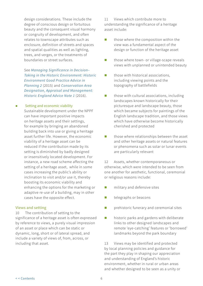<span id="page-9-0"></span>design considerations. These include the degree of conscious design or fortuitous beauty and the consequent visual harmony or congruity of development, and often relates to townscape attributes such as enclosure, definition of streets and spaces and spatial qualities as well as lighting, trees, and verges, or the treatments of boundaries or street surfaces.

See *[Managing Significance in Decision–](https://content.historicengland.org.uk/images-books/publications/gpa2-managing-significance-in-decision-taking/gpa2.pdf/) [Taking in the Historic Environment: Historic](https://content.historicengland.org.uk/images-books/publications/gpa2-managing-significance-in-decision-taking/gpa2.pdf/)  [Environment Good Practice Advice in](https://content.historicengland.org.uk/images-books/publications/gpa2-managing-significance-in-decision-taking/gpa2.pdf/)  [Planning 2](https://content.historicengland.org.uk/images-books/publications/gpa2-managing-significance-in-decision-taking/gpa2.pdf/)* (2015) and *[Conservation Area](https://content.historicengland.org.uk/images-books/publications/conservation-area-designation-appraisal-management-advice-note-1/heag040-conservation-area-designation-appraisal-and-management.pdf/)  [Designation, Appraisal and Management:](https://content.historicengland.org.uk/images-books/publications/conservation-area-designation-appraisal-management-advice-note-1/heag040-conservation-area-designation-appraisal-and-management.pdf/)  [Historic England Advice Note 1](https://content.historicengland.org.uk/images-books/publications/conservation-area-designation-appraisal-management-advice-note-1/heag040-conservation-area-designation-appraisal-and-management.pdf/)* (2016).

**Exercise Setting and economic viability** Sustainable development under the NPPF can have important positive impacts on heritage assets and their settings, for example by bringing an abandoned building back into use or giving a heritage asset further life. However, the economic viability of a heritage asset can be reduced if the contribution made by its setting is diminished by badly designed or insensitively located development. For instance, a new road scheme affecting the setting of a heritage asset, while in some cases increasing the public's ability or inclination to visit and/or use it, thereby boosting its economic viability and enhancing the options for the marketing or adaptive re-use of a building, may in other cases have the opposite effect.

## **Views and setting**

10 The contribution of setting to the significance of a heritage asset is often expressed by reference to views, a purely visual impression of an asset or place which can be static or dynamic, long, short or of lateral spread, and include a variety of views of, from, across, or including that asset.

11 Views which contribute more to understanding the significance of a heritage asset include:

- $\blacksquare$  those where the composition within the view was a fundamental aspect of the design or function of the heritage asset
- **those where town- or village-scape reveals** views with unplanned or unintended beauty
- $\Box$  those with historical associations, including viewing points and the topography of battlefields
- $\blacksquare$  those with cultural associations, including landscapes known historically for their picturesque and landscape beauty, those which became subjects for paintings of the English landscape tradition, and those views which have otherwise become historically cherished and protected
- $\blacksquare$  those where relationships between the asset and other heritage assets or natural features or phenomena such as solar or lunar events are particularly relevant

12 Assets, whether contemporaneous or otherwise, which were intended to be seen from one another for aesthetic, functional, ceremonial or religious reasons include:

- military and defensive sites
- $\blacksquare$  telegraphs or beacons
- **Part** prehistoric funerary and ceremonial sites
- **historic parks and gardens with deliberate** links to other designed landscapes and remote 'eye-catching' features or 'borrowed' landmarks beyond the park boundary

13 Views may be identified and protected by local planning policies and guidance for the part they play in shaping our appreciation and understanding of England's historic environment, whether in rural or urban areas and whether designed to be seen as a unity or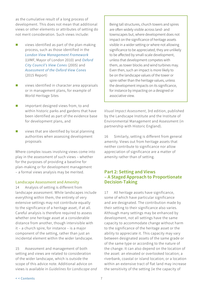<span id="page-10-0"></span>as the cumulative result of a long process of development. This does not mean that additional views or other elements or attributes of setting do not merit consideration. Such views include:

- $\blacksquare$  views identified as part of the plan-making process, such as those identified in the *[London View Management Framework](https://www.london.gov.uk/what-we-do/planning/implementing-london-plan/supplementary-planning-guidance/london-view-management)*  (LVMF, Mayor of London 2010) and *[Oxford](https://www.oxford.gov.uk/oxfordviewconesstudy)  [City Council's View Cones](https://www.oxford.gov.uk/oxfordviewconesstudy)* (2005) and *[Assessment of the Oxford View Cones](https://consultation.oxford.gov.uk/consult.ti/Oxford_View_Cones/consultationHome)* (2015 Report)
- $\blacksquare$  views identified in character area appraisals or in management plans, for example of World Heritage Sites
- **I** important designed views from, to and within historic parks and gardens that have been identified as part of the evidence base for development plans, and
- $\blacksquare$  views that are identified by local planning authorities when assessing development proposals

Where complex issues involving views come into play in the assessment of such views – whether for the purposes of providing a baseline for plan-making or for development management – a formal views analysis may be merited.

## **Landscape Assessment and Amenity**

14 Analysis of setting is different from landscape assessment. While landscapes include everything within them, the entirety of very extensive settings may not contribute equally to the significance of a heritage asset, if at all. Careful analysis is therefore required to assess whether one heritage asset at a considerable distance from another, though intervisible with it – a church spire, for instance – is a major component of the setting, rather than just an incidental element within the wider landscape.

15 Assessment and management of both setting and views are related to consideration of the wider landscape, which is outside the scope of this advice note. Additional advice on views is available in *Guidelines for Landscape and* 

Being tall structures, church towers and spires are often widely visible across land- and townscapes but, where development does not impact on the significance of heritage assets visible in a wider setting or where not allowing significance to be appreciated, they are unlikely to be affected by small-scale development, unless that development competes with them, as tower blocks and wind turbines may. Even then, such an impact is more likely to be on the landscape values of the tower or spire rather than the heritage values, unless the development impacts on its significance, for instance by impacting on a designed or associative view.

*Visual Impact Assessment*, 3rd edition, published by the Landscape Institute and the Institute of Environmental Management and Assessment (in partnership with Historic England).

16 Similarly, setting is different from general amenity. Views out from heritage assets that neither contribute to significance nor allow appreciation of significance are a matter of amenity rather than of setting.

## **Part 2: Setting and Views – A Staged Approach to Proportionate Decision-Taking**

17 All heritage assets have significance, some of which have particular significance and are designated. The contribution made by their setting to their significance also varies. Although many settings may be enhanced by development, not all settings have the same capacity to accommodate change without harm to the significance of the heritage asset or the ability to appreciate it. This capacity may vary between designated assets of the same grade or of the same type or according to the nature of the change. It can also depend on the location of the asset: an elevated or overlooked location; a riverbank, coastal or island location; or a location within an extensive tract of flat land may increase the sensitivity of the setting (ie the capacity of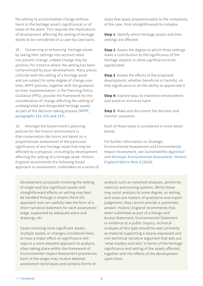the setting to accommodate change without harm to the heritage asset's significance) or of views of the asset. This requires the implications of development affecting the setting of heritage assets to be considered on a case-by-case basis.

18 Conserving or enhancing heritage assets by taking their settings into account need not prevent change; indeed change may be positive, for instance where the setting has been compromised by poor development. Many places coincide with the setting of a heritage asset and are subject to some degree of change over time. NPPF policies, together with the guidance on their implementation in the Planning Policy Guidance (PPG), provide the framework for the consideration of change affecting the setting of undesignated and designated heritage assets as part of the decision-taking process ([NPPF,](https://www.gov.uk/guidance/national-planning-policy-framework/12-conserving-and-enhancing-the-historic-environment)  [paragraphs 131-135 and 137](https://www.gov.uk/guidance/national-planning-policy-framework/12-conserving-and-enhancing-the-historic-environment)).

19 Amongst the Government's planning policies for the historic environment is that conservation decisions are based on a proportionate assessment of the particular significance of any heritage asset that may be affected by a proposal, including by development affecting the setting of a heritage asset. Historic England recommends the following broad approach to assessment, undertaken as a series of

Development proposals involving the setting of single and less significant assets and straightforward effects on setting may best be handled through a simple check-list approach and can usefully take the form of a short narrative statement for each assessment stage, supported by adequate plans and drawings, etc.

Cases involving more significant assets, multiple assets, or changes considered likely to have a major effect on significance will require a more detailed approach to analysis, often taking place within the framework of Environmental Impact Assessment procedures. Each of the stages may involve detailed assessment techniques and complex forms of

steps that apply proportionately to the complexity of the case, from straightforward to complex:

**Step 1**: Identify which heritage assets and their settings are affected

**Step 2**: Assess the degree to which these settings make a contribution to the significance of the heritage asset(s) or allow significance to be appreciated

**Step 3**: Assess the effects of the proposed development, whether beneficial or harmful, on that significance or on the ability to appreciate it

**Step 4:** Explore ways to maximise enhancement and avoid or minimise harm

**Step 5**: Make and document the decision and monitor outcomes

Each of these steps is considered in more detail below.

For further information on Strategic Environmental Assessment and Environmental Impact Assessment, see *[Sustainability Appraisal](https://content.historicengland.org.uk/images-books/publications/sustainability-appraisal-and-strategic-environmental-assessment-advice-note-8/heag036-sustainability-appraisal-strategic-environmental-assessment.pdf/)  [and Strategic Environmental Assessment: Historic](https://content.historicengland.org.uk/images-books/publications/sustainability-appraisal-and-strategic-environmental-assessment-advice-note-8/heag036-sustainability-appraisal-strategic-environmental-assessment.pdf/)  [England Advice Note 8](https://content.historicengland.org.uk/images-books/publications/sustainability-appraisal-and-strategic-environmental-assessment-advice-note-8/heag036-sustainability-appraisal-strategic-environmental-assessment.pdf/)* (2016).

analysis such as viewshed analyses, sensitivity matrices and scoring systems. Whilst these may assist analysis to some degree, as setting and views are matters of qualitative and expert judgement, they cannot provide a systematic answer. Historic England recommends that, when submitted as part of a Design and Access Statement, Environmental Statement or evidence to a public Inquiry, technical analyses of this type should be seen primarily as material supporting a clearly expressed and non-technical narrative argument that sets out 'what matters and why' in terms of the heritage significance and setting of the assets affected, together with the effects of the development upon them.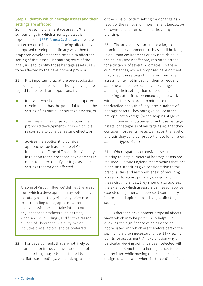## <span id="page-12-0"></span>**Step 1: Identify which heritage assets and their settings are affected**

20 The setting of a heritage asset is 'the surroundings in which a heritage asset is experienced' ([NPPF, Annex 2: Glossary](https://www.gov.uk/guidance/national-planning-policy-framework/annex-2-glossary)). Where that experience is capable of being affected by a proposed development (in any way) then the proposed development can be said to affect the setting of that asset. The starting point of the analysis is to identify those heritage assets likely to be affected by the development proposal.

21 It is important that, at the pre-application or scoping stage, the local authority, having due regard to the need for proportionality:

- $\blacksquare$  indicates whether it considers a proposed development has the potential to affect the setting of (a) particular heritage asset(s), or
- **SPECIFIELD** Specifies an 'area of search' around the proposed development within which it is reasonable to consider setting effects, or
- **a** advises the applicant to consider approaches such as a 'Zone of Visual Influence' or 'Zone of Theoretical Visibility' in relation to the proposed development in order to better identify heritage assets and settings that may be affected

A 'Zone of Visual Influence' defines the areas from which a development may potentially be totally or partially visible by reference to surrounding topography. However, such analysis does not take into account any landscape artefacts such as trees, woodland, or buildings, and for this reason a 'Zone of Theoretical Visibility' which includes these factors is to be preferred.

22 For developments that are not likely to be prominent or intrusive, the assessment of effects on setting may often be limited to the immediate surroundings, while taking account of the possibility that setting may change as a result of the removal of impermanent landscape or townscape features, such as hoardings or planting.

23 The area of assessment for a large or prominent development, such as a tall building in an urban environment or a wind turbine in the countryside or offshore, can often extend for a distance of several kilometres. In these circumstances, while a proposed development may affect the setting of numerous heritage assets, it may not impact on them all equally, as some will be more sensitive to change affecting their setting than others. Local planning authorities are encouraged to work with applicants in order to minimise the need for detailed analysis of very large numbers of heritage assets. They may give advice at the pre-application stage (or the scoping stage of an Environmental Statement) on those heritage assets, or categories of heritage asset, that they consider most sensitive as well as on the level of analysis they consider proportionate for different assets or types of asset.

24 Where spatially extensive assessments relating to large numbers of heritage assets are required, Historic England recommends that local planning authorities give consideration to the practicalities and reasonableness of requiring assessors to access privately owned land. In these circumstances, they should also address the extent to which assessors can reasonably be expected to gather and represent community interests and opinions on changes affecting settings.

25 Where the development proposal affects views which may be particularly helpful in allowing the significance of an asset to be appreciated and which are therefore part of the setting, it is often necessary to identify viewing points for assessment. An explanation why a particular viewing point has been selected will be needed. Sometimes a heritage asset is best appreciated while moving (for example, in a designed landscape, where its three-dimensional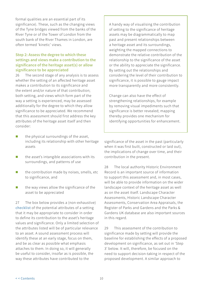<span id="page-13-0"></span>formal qualities are an essential part of its significance). These, such as the changing views of the Tyne bridges viewed from the banks of the River Tyne or of the Tower of London from the south bank of the River Thames in London, are often termed 'kinetic' views.

## **Step 2: Assess the degree to which these settings and views make a contribution to the significance of the heritage asset(s) or allow significance to be appreciated**

26 The second stage of any analysis is to assess whether the setting of an affected heritage asset makes a contribution to its significance and the extent and/or nature of that contribution; both setting, and views which form part of the way a setting is experienced, may be assessed additionally for the degree to which they allow significance to be appreciated. We recommend that this assessment should first address the key attributes of the heritage asset itself and then consider:

- $\blacksquare$  the physical surroundings of the asset, including its relationship with other heritage assets
- $\blacksquare$  the asset's intangible associations with its surroundings, and patterns of use
- $\blacksquare$  the contribution made by noises, smells, etc to significance, and
- $\blacksquare$  the way views allow the significance of the asset to be appreciated

27 The box below provides a (non-exhaustive) [checklist](#page-14-0) of the potential attributes of a setting that it may be appropriate to consider in order to define its contribution to the asset's heritage values and significance. Only a limited selection of the attributes listed will be of particular relevance to an asset. A sound assessment process will identify these at an early stage, focus on them, and be as clear as possible what emphasis attaches to them. In doing so, it will generally be useful to consider, insofar as is possible, the way these attributes have contributed to the

A handy way of visualising the contribution of setting to the significance of heritage assets may be diagrammatically to map past and present relationships between a heritage asset and its surroundings, weighting the mapped connections to demonstrate the relative contribution of the relationship to the significance of the asset or the ability to appreciate the significance. By setting out the relationships and considering the level of their contribution to significance, it is possible to gauge impact more transparently and more consistently.

Change can also have the effect of strengthening relationships, for example by removing visual impediments such that significance is better revealed; mapping thereby provides one mechanism for identifying opportunities for enhancement.

significance of the asset in the past (particularly when it was first built, constructed or laid out), the implications of change over time, and their contribution in the present.

28 The local authority Historic Environment Record is an important source of information to support this assessment and, in most cases, will be able to provide information on the wider landscape context of the heritage asset as well as on the asset itself. Landscape Character Assessments, Historic Landscape Character Assessments, Conservation Area Appraisals, the Register of Parks and Gardens and the Parks & Gardens UK database are also important sources in this regard.

29 This assessment of the contribution to significance made by setting will provide the baseline for establishing the effects of a proposed development on significance, as set out in 'Step 3' below. It will, therefore, be focused on the need to support decision-taking in respect of the proposed development. A similar approach to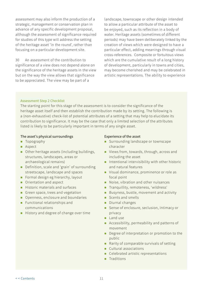<span id="page-14-0"></span>assessment may also inform the production of a strategic, management or conservation plan in advance of any specific development proposal, although the assessment of significance required for studies of this type will address the setting of the heritage asset 'in the round', rather than focusing on a particular development site.

30 An assessment of the contribution to significance of a view does not depend alone on the significance of the heritage assets in the view but on the way the view allows that significance to be appreciated. The view may be part of a

landscape, townscape or other design intended to allow a particular attribute of the asset to be enjoyed, such as its reflection in a body of water. Heritage assets (sometimes of different periods) may have been deliberately linked by the creation of views which were designed to have a particular effect, adding meanings through visual cross-references. Composite or fortuitous views which are the cumulative result of a long history of development, particularly in towns and cities, may become cherished and may be celebrated in artistic representations. The ability to experience

## Assessment Step 2 Checklist

The starting point for this stage of the assessment is to consider the significance of the heritage asset itself and then establish the contribution made by its setting. The following is a (non-exhaustive) check-list of potential attributes of a setting that may help to elucidate its contribution to significance. It may be the case that only a limited selection of the attributes listed is likely to be particularly important in terms of any single asset.

## The asset's physical surroundings

- **Topography**
- **Aspect**
- Other heritage assets (including buildings, structures, landscapes, areas or archaeological remains)
- Definition, scale and 'grain' of surrounding streetscape, landscape and spaces
- Formal design eg hierarchy, layout
- **Orientation and aspect**
- Historic materials and surfaces
- Green space, trees and vegetation
- Openness, enclosure and boundaries
- **Functional relationships and** communications
- History and degree of change over time

## Experience of the asset

- **Surrounding landscape or townscape** character
- Views from, towards, through, across and including the asset
- Intentional intervisibility with other historic and natural features
- Visual dominance, prominence or role as focal point
- Noise, vibration and other nuisances
- Tranquillity, remoteness, 'wildness'
- Busyness, bustle, movement and activity
- Scents and smells
- Diurnal changes
- Sense of enclosure, seclusion, intimacy or privacy
- **Landuse**
- Accessibility, permeability and patterns of movement
- Degree of interpretation or promotion to the public
- Rarity of comparable survivals of setting
- **Cultural associations**
- Celebrated artistic representations
- **Traditions**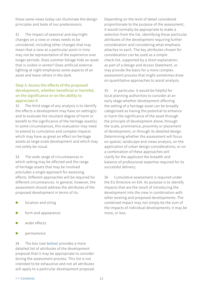<span id="page-15-0"></span>these same views today can illuminate the design principles and taste of our predecessors.

31 The impact of seasonal and day/night changes on a view or views needs to be considered, including other changes that may mean that a view at a particular point in time may not be representative of the experience over longer periods. Does summer foliage hide an asset that is visible in winter? Does artificial external lighting at night emphasise some aspects of an asset and leave others in the dark.

## **Step 3: Assess the effects of the proposed development, whether beneficial or harmful, on the significance or on the ability to appreciate it**

32 The third stage of any analysis is to identify the effects a development may have on setting(s) and to evaluate the resultant degree of harm or benefit to the significance of the heritage asset(s). In some circumstances, this evaluation may need to extend to cumulative and complex impacts which may have as great an effect on heritage assets as large-scale development and which may not solely be visual.

33 The wide range of circumstances in which setting may be affected and the range of heritage assets that may be involved precludes a single approach for assessing effects. Different approaches will be required for different circumstances. In general, however, the assessment should address the attributes of the proposed development in terms of its:

- $\Box$  location and siting
- $\blacksquare$  form and appearance
- $\blacksquare$  wider effects
- **n** permanence

34 The box (see [below](#page-16-0)) provides a more detailed list of attributes of the development proposal that it may be appropriate to consider during the assessment process. This list is not intended to be exhaustive and not all attributes will apply to a particular development proposal. Depending on the level of detail considered proportionate to the purpose of the assessment, it would normally be appropriate to make a selection from the list, identifying those particular attributes of the development requiring further consideration and considering what emphasis attaches to each. The key attributes chosen for consideration can be used as a simple check-list, supported by a short explanation, as part of a Design and Access Statement, or may provide the basis for a more complex assessment process that might sometimes draw on quantitative approaches to assist analysis.

35 In particular, it would be helpful for local planning authorities to consider at an early stage whether development affecting the setting of a heritage asset can be broadly categorised as having the potential to enhance or harm the significance of the asset through the principle of development alone; through the scale, prominence, proximity or placement of development; or through its detailed design. Determining whether the assessment will focus on spatial, landscape and views analysis, on the application of urban design considerations, or on a combination of these approaches will clarify for the applicant the breadth and balance of professional expertise required for its successful delivery.

36 Cumulative assessment is required under the EU Directive on EIA. Its purpose is to identify impacts that are the result of introducing the development into the view in combination with other existing and proposed developments. The combined impact may not simply be the sum of the impacts of individual developments; it may be more, or less.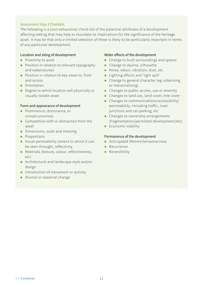#### <span id="page-16-0"></span>Assessment Step 3 Checklist

The following is a (non-exhaustive) check-list of the potential attributes of a development affecting setting that may help to elucidate its implications for the significance of the heritage asset. It may be that only a limited selection of these is likely to be particularly important in terms of any particular development.

#### Location and siting of development

- $\blacksquare$  Proximity to asset
- **Position in relation to relevant topography** and watercourses
- **Position in relation to key views to, from** and across
- **Orientation**
- Degree to which location will physically or visually isolate asset

#### Form and appearance of development

- **Prominence, dominance, or** conspicuousness
- Competition with or distraction from the asset
- Dimensions, scale and massing
- **Proportions**
- Visual permeability (extent to which it can be seen through), reflectivity
- **Materials (texture, colour, reflectiveness,** etc)
- **Architectural and landscape style and/or** design
- Introduction of movement or activity
- Diurnal or seasonal change

#### Wider effects of the development

- **Change to built surroundings and spaces**
- **Change to skyline, silhouette**
- Noise, odour, vibration, dust, etc
- Lighting effects and 'light spill'
- **Change to general character (eg urbanising** or industrialising)
- Changes to public access, use or amenity
- Changes to land use, land cover, tree cover
- Changes to communications/accessibility/ permeability, including traffic, road junctions and car-parking, etc
- Changes to ownership arrangements (fragmentation/permitted development/etc)
- $\blacksquare$  Economic viability

#### Permanence of the development

- Anticipated lifetime/temporariness
- **Recurrence**
- **Reversibility**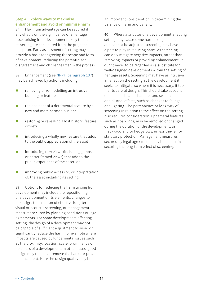## <span id="page-17-0"></span>**Step 4: Explore ways to maximise enhancement and avoid or minimise harm**

37 Maximum advantage can be secured if any effects on the significance of a heritage asset arising from development likely to affect its setting are considered from the project's inception. Early assessment of setting may provide a basis for agreeing the scope and form of development, reducing the potential for disagreement and challenge later in the process.

38 Enhancement (see [NPPF, paragraph 137](https://www.gov.uk/guidance/national-planning-policy-framework/12-conserving-and-enhancing-the-historic-environment)) may be achieved by actions including:

- **Part** removing or re-modelling an intrusive building or feature
- **F** replacement of a detrimental feature by a new and more harmonious one
- $\blacksquare$  restoring or revealing a lost historic feature or view
- **n** introducing a wholly new feature that adds to the public appreciation of the asset
- **I** introducing new views (including glimpses or better framed views) that add to the public experience of the asset, or
- **n** improving public access to, or interpretation of, the asset including its setting

39 Options for reducing the harm arising from development may include the repositioning of a development or its elements, changes to its design, the creation of effective long-term visual or acoustic screening, or management measures secured by planning conditions or legal agreements. For some developments affecting setting, the design of a development may not be capable of sufficient adjustment to avoid or significantly reduce the harm, for example where impacts are caused by fundamental issues such as the proximity, location, scale, prominence or noisiness of a development. In other cases, good design may reduce or remove the harm, or provide enhancement. Here the design quality may be

an important consideration in determining the balance of harm and benefit.

40 Where attributes of a development affecting setting may cause some harm to significance and cannot be adjusted, screening may have a part to play in reducing harm. As screening can only mitigate negative impacts, rather than removing impacts or providing enhancement, it ought never to be regarded as a substitute for well-designed developments within the setting of heritage assets. Screening may have as intrusive an effect on the setting as the development it seeks to mitigate, so where it is necessary, it too merits careful design. This should take account of local landscape character and seasonal and diurnal effects, such as changes to foliage and lighting. The permanence or longevity of screening in relation to the effect on the setting also requires consideration. Ephemeral features, such as hoardings, may be removed or changed during the duration of the development, as may woodland or hedgerows, unless they enjoy statutory protection. Management measures secured by legal agreements may be helpful in securing the long-term effect of screening.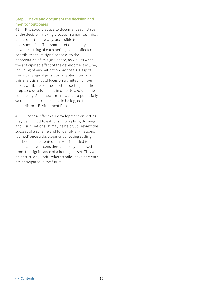## <span id="page-18-0"></span>**Step 5: Make and document the decision and monitor outcomes**

41 It is good practice to document each stage of the decision-making process in a non-technical and proportionate way, accessible to non-specialists. This should set out clearly how the setting of each heritage asset affected contributes to its significance or to the appreciation of its significance, as well as what the anticipated effect of the development will be, including of any mitigation proposals. Despite the wide range of possible variables, normally this analysis should focus on a limited number of key attributes of the asset, its setting and the proposed development, in order to avoid undue complexity. Such assessment work is a potentially valuable resource and should be logged in the local Historic Environment Record.

42 The true effect of a development on setting may be difficult to establish from plans, drawings and visualisations. It may be helpful to review the success of a scheme and to identify any 'lessons learned' once a development affecting setting has been implemented that was intended to enhance, or was considered unlikely to detract from, the significance of a heritage asset. This will be particularly useful where similar developments are anticipated in the future.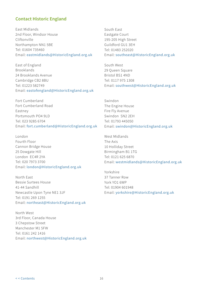## **Contact Historic England**

East Midlands 2nd Floor, Windsor House Cliftonville Northampton NN1 5BE Tel: 01604 735460 Email: [eastmidlands@HistoricEngland.org.uk](mailto:eastmidlands%40HistoricEngland.org.uk?subject=Guidance)

East of England Brooklands 24 Brooklands Avenue Cambridge CB2 8BU Tel: 01223 582749 Email: [eastofengland@HistoricEngland.org.uk](mailto:eastofengland%40HistoricEngland.org.uk?subject=Guidance)

Fort Cumberland Fort Cumberland Road Eastney Portsmouth PO4 9LD Tel: 023 9285 6704 Email: [fort.cumberland@HistoricEngland.org.uk](mailto:fort.cumberland%40HistoricEngland.org.uk?subject=Guidance)

London Fourth Floor Cannon Bridge House 25 Dowgate Hill London EC4R 2YA Tel: 020 7973 3700 Email: [london@HistoricEngland.org.uk](mailto:london%40HistoricEngland.org.uk?subject=Guidance)

North East Bessie Surtees House 41-44 Sandhill Newcastle Upon Tyne NE1 3JF Tel: 0191 269 1255 Email: [northeast@HistoricEngland.org.uk](mailto:northeast%40HistoricEngland.org.uk?subject=Guidance) 

North West 3rd Floor, Canada House 3 Chepstow Street Manchester M1 5FW Tel: 0161 242 1416 Email: [northwest@HistoricEngland.org.uk](mailto:northwest%40HistoricEngland.org.uk?subject=Guidance) South East Eastgate Court 195-205 High Street Guildford GU1 3EH Tel: 01483 252020 Email: [southeast@HistoricEngland.org.uk](mailto:southeast%40HistoricEngland.org.uk?subject=Guidance)

South West 29 Queen Square Bristol BS1 4ND Tel: 0117 975 1308 Email: [southwest@HistoricEngland.org.uk](mailto:southwest%40HistoricEngland.org.uk?subject=Guidance)

Swindon The Engine House Fire Fly Avenue Swindon SN2 2EH Tel: 01793 445050 Email: [swindon@HistoricEngland.org.uk](mailto:swindon%40%0AHistoricEngland.org.uk?subject=Guidance)

West Midlands The Axis 10 Holliday Street Birmingham B1 1TG Tel: 0121 625 6870 Email: [westmidlands@HistoricEngland.org.uk](mailto:westmidlands%40HistoricEngland.org.uk?subject=Guidance)

Yorkshire 37 Tanner Row York YO1 6WP Tel: 01904 601948 Email: [yorkshire@HistoricEngland.org.uk](mailto:yorkshire%40HistoricEngland.org.uk?subject=Guidance)